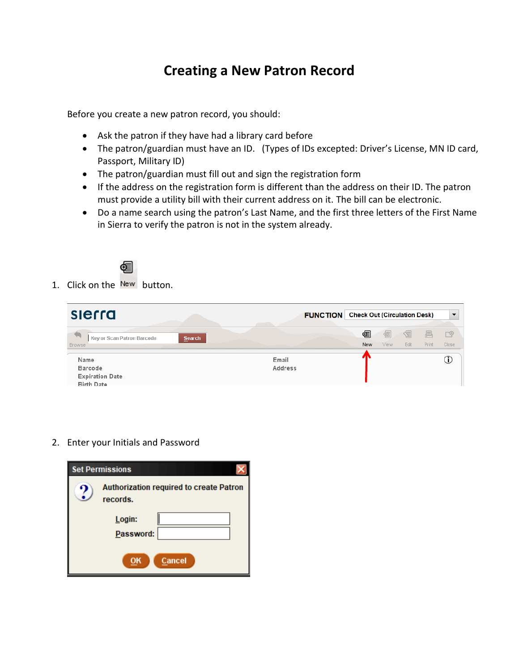## **Creating a New Patron Record**

Before you create a new patron record, you should:

- Ask the patron if they have had a library card before
- The patron/guardian must have an ID. (Types of IDs excepted: Driver's License, MN ID card, Passport, Military ID)
- The patron/guardian must fill out and sign the registration form
- If the address on the registration form is different than the address on their ID. The patron must provide a utility bill with their current address on it. The bill can be electronic.
- Do a name search using the patron's Last Name, and the first three letters of the First Name in Sierra to verify the patron is not in the system already.



1. Click on the New button.

| sierra                                                                |        | <b>FUNCTION</b> Check Out (Circulation Desk) |          |           | $\overline{\phantom{a}}$ |                   |                             |
|-----------------------------------------------------------------------|--------|----------------------------------------------|----------|-----------|--------------------------|-------------------|-----------------------------|
| Key or Scan Patron Barcode<br><b>Browse</b>                           | Search |                                              | 匎<br>New | 医<br>View | 召<br>Edit                | 昌<br><b>Print</b> | $\Box^{\circledR}$<br>Close |
| Name<br><b>Barcode</b><br><b>Expiration Date</b><br><b>Birth Date</b> |        | Email<br>Address                             |          |           |                          |                   | ∪                           |

2. Enter your Initials and Password

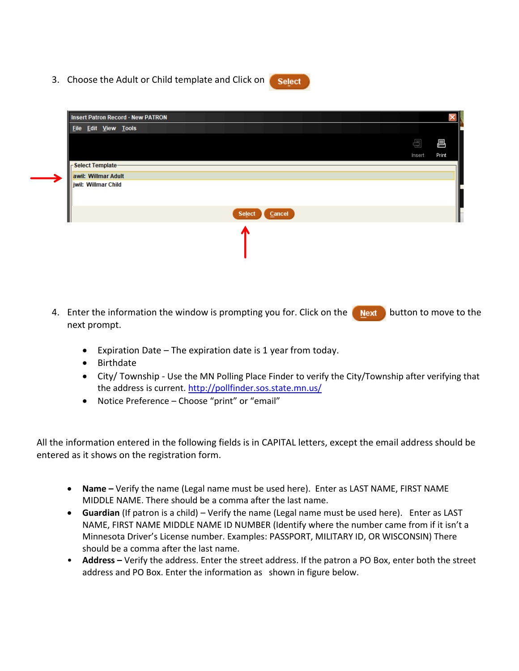3. Choose the Adult or Child template and Click on



**Select** 

- 4. Enter the information the window is prompting you for. Click on the **button to move to the button** to move to the next prompt.
	- Expiration Date The expiration date is 1 year from today.
	- Birthdate
	- City/ Township Use the MN Polling Place Finder to verify the City/Township after verifying that the address is current.<http://pollfinder.sos.state.mn.us/>
	- Notice Preference Choose "print" or "email"

All the information entered in the following fields is in CAPITAL letters, except the email address should be entered as it shows on the registration form.

- Name Verify the name (Legal name must be used here). Enter as LAST NAME, FIRST NAME MIDDLE NAME. There should be a comma after the last name.
- **Guardian** (If patron is a child) Verify the name (Legal name must be used here). Enter as LAST NAME, FIRST NAME MIDDLE NAME ID NUMBER (Identify where the number came from if it isn't a Minnesota Driver's License number. Examples: PASSPORT, MILITARY ID, OR WISCONSIN) There should be a comma after the last name.
- Address Verify the address. Enter the street address. If the patron a PO Box, enter both the street address and PO Box. Enter the information as shown in figure below.